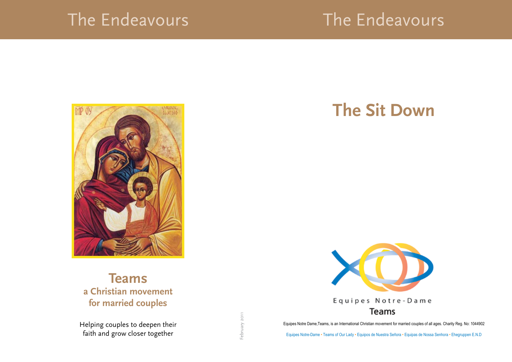### The Endeavours

# The Endeavours



### **Teams a Christian movement for married couples**

Helping couples to deepen their faith and grow closer together

### **The Sit Down**



Equipes Notre Dame,Teams, is an International Christian movement for married couples of all ages. Charity Reg. No: 1044902

Equipes Notre-Dame • Teams of Our Lady • Equipos de Nuestra Señora • Equipas de Nossa Senhora • Ehegruppen E.N.D